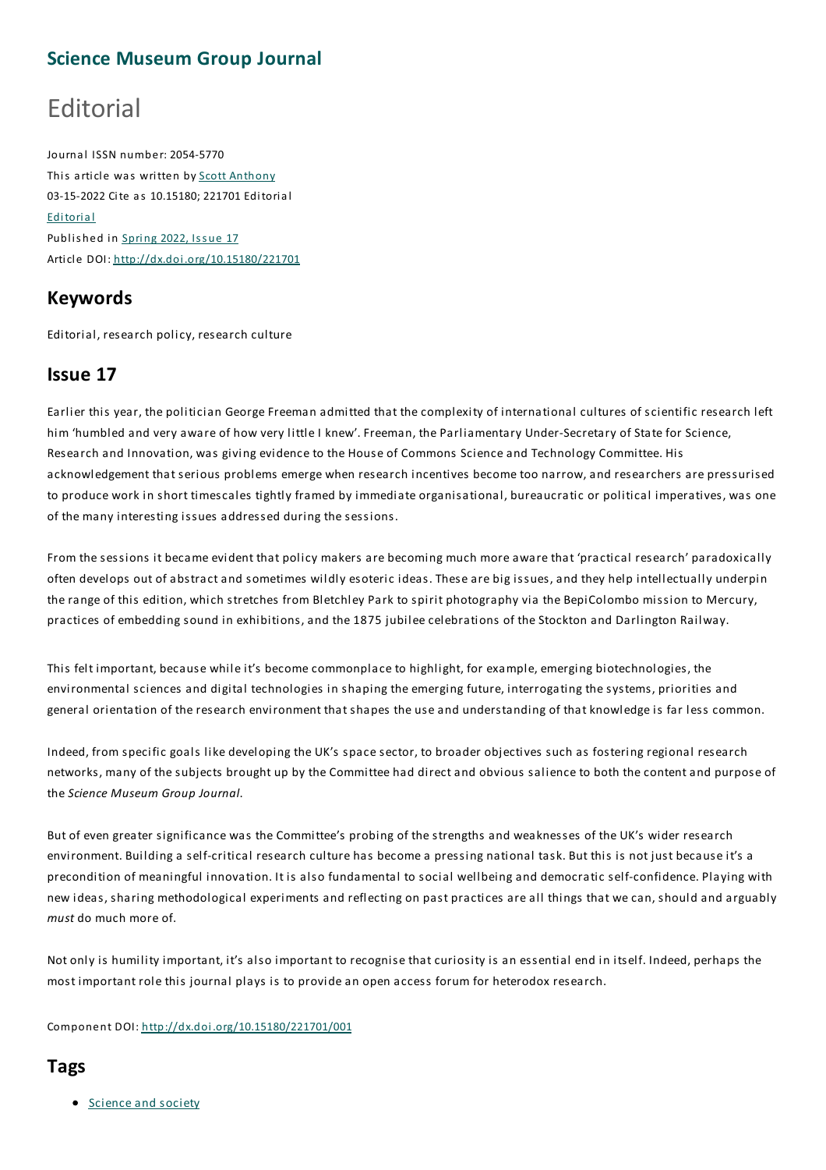## **Science Museum Group Journal**

# Editorial

Journal ISSN number: 2054-5770 This article was written by Scott Anthony 03-15-2022 Cite as 10.15180; 221701 Editorial Editorial Published in Spring 2022, Issue 17 Article DOI: http://dx.doi.org/10.15180/221701

### **Keywords**

Editorial, research policy, research culture

### **Issue 17**

Earlier this year, the politician George Freeman admitted that the complexity of international cultures of scientific research left him 'humbled and very aware of how very little I knew'. Freeman, the Parliamentary Under-Secretary of State for Science, Research and Innovation, was giving evidence to the House of Commons Science and Technology Committee. His acknowledgement that serious problems emerge when research incentives become too narrow, and researchers are pressurised to produce work in short timescales tightly framed by immediate organisational, bureaucratic or political imperatives, was one of the many interesting issues addressed during the sessions.

From the sessions it became evident that policy makers are becoming much more aware that 'practical research' paradoxically often develops out of abstract and sometimes wildly esoteric ideas.These are big issues, and they help intellectually underpin the range of this edition, which stretches from Bletchley Park to spirit photography via the BepiColombo mission to Mercury, practices of embedding sound in exhibitions, and the 1875 jubilee celebrations of the Stockton and Darlington Railway.

This felt important, because while it's become commonplace to highlight, for example, emerging biotechnologies, the environmental sciences and digital technologies in shaping the emerging future, interrogating the systems, priorities and general orientation of the research environment that shapes the use and understanding of that knowledge is far less common.

Indeed, from specific goals like developing the UK's space sector, to broader objectives such as fostering regional research networks, many of the subjects brought up by the Committee had direct and obvious salience to both the content and purpose of the *Science Museum Group Journal*.

But of even greater significance was the Committee's probing of the strengths and weaknesses of the UK's wider research environment. Building a self-critical research culture has become a pressing national task. But this is not just because it's a precondition of meaningful innovation. It is also fundamental to social wellbeing and democratic self-confidence. Playing with new ideas, sharing methodological experiments and reflecting on past practices are all things that we can, should and arguably *must* do much more of.

Not only is humility important, it's also important to recognise that curiosity is an essential end in itself. Indeed, perhaps the most important role this journal plays is to provide an open access forum for heterodox research.

Component DOI: http://dx.doi.org/10.15180/221701/001

### **Tags**

• Science and society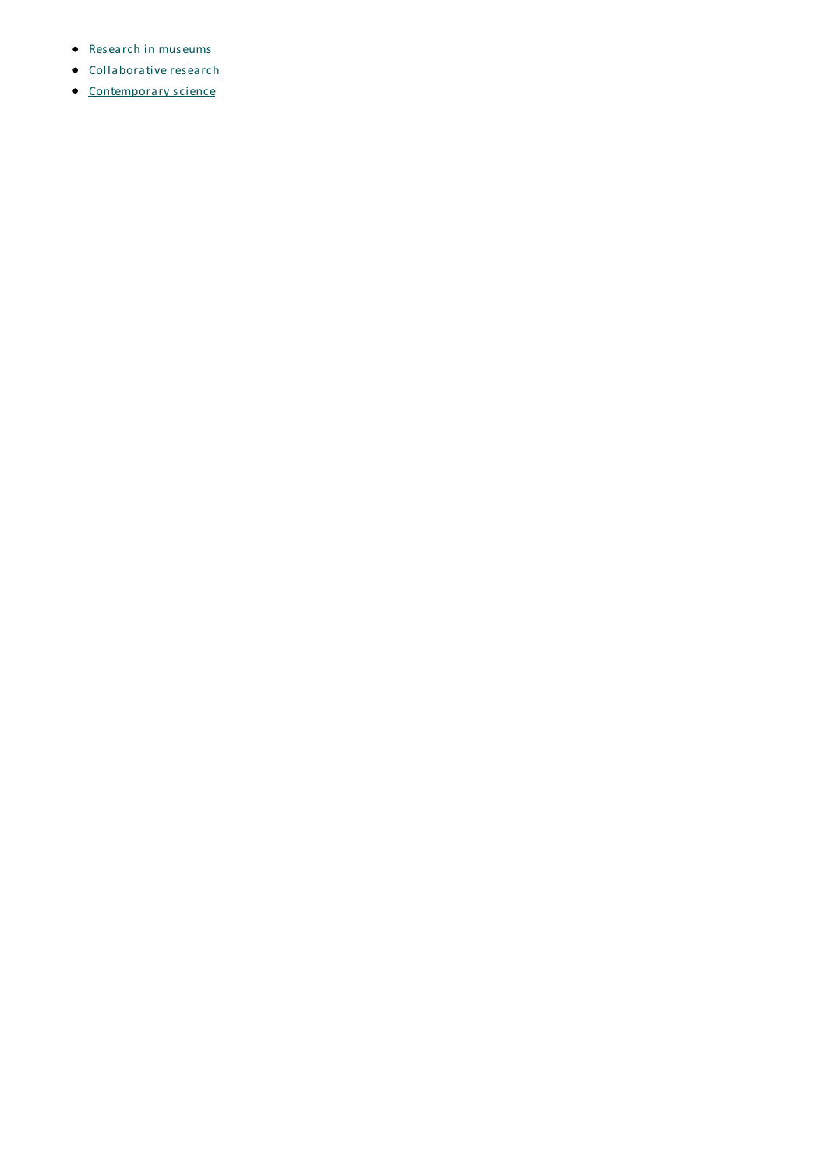- Research in museums
- Collaborative research
- Contemporary science